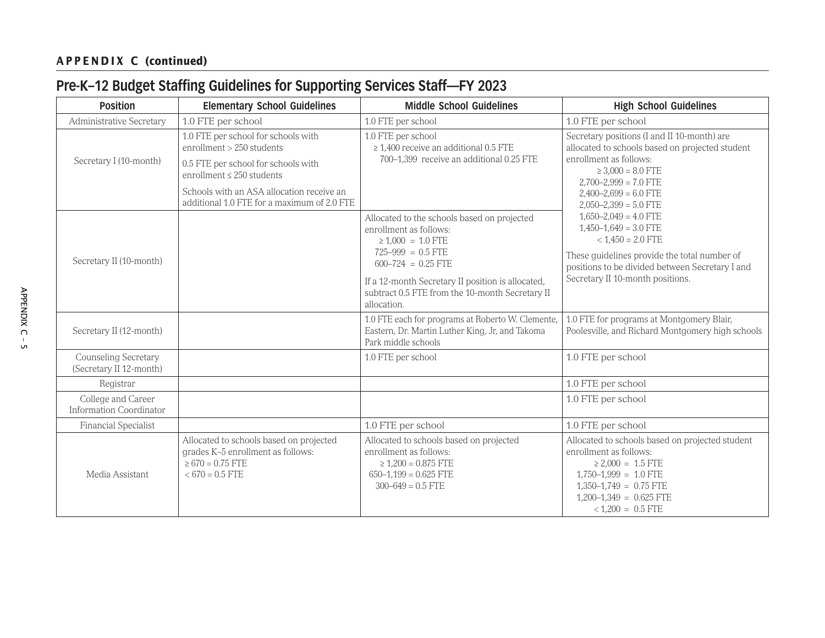### **APPENDIX C (continued)**

## **Pre-K–12 Budget Staffing Guidelines for Supporting Services Staff—FY 2023**

| <b>Position</b>                                      | <b>Elementary School Guidelines</b>                                                                                                                                                                                                   | <b>Middle School Guidelines</b>                                                                                                                                                                                                                                       | <b>High School Guidelines</b>                                                                                                                                                                                                                                                                                                                                                                                                                           |
|------------------------------------------------------|---------------------------------------------------------------------------------------------------------------------------------------------------------------------------------------------------------------------------------------|-----------------------------------------------------------------------------------------------------------------------------------------------------------------------------------------------------------------------------------------------------------------------|---------------------------------------------------------------------------------------------------------------------------------------------------------------------------------------------------------------------------------------------------------------------------------------------------------------------------------------------------------------------------------------------------------------------------------------------------------|
| Administrative Secretary                             | 1.0 FTE per school                                                                                                                                                                                                                    | 1.0 FTE per school                                                                                                                                                                                                                                                    | 1.0 FTE per school                                                                                                                                                                                                                                                                                                                                                                                                                                      |
| Secretary I (10-month)                               | 1.0 FTE per school for schools with<br>enrollment > 250 students<br>0.5 FTE per school for schools with<br>enrollment $\leq$ 250 students<br>Schools with an ASA allocation receive an<br>additional 1.0 FTE for a maximum of 2.0 FTE | 1.0 FTE per school<br>$\geq$ 1,400 receive an additional 0.5 FTE<br>700-1,399 receive an additional 0.25 FTE                                                                                                                                                          | Secretary positions (I and II 10-month) are<br>allocated to schools based on projected student<br>enrollment as follows:<br>$\geq 3,000 = 8.0$ FTE<br>$2,700-2,999 = 7.0$ FTE<br>$2,400-2,699 = 6.0$ FTE<br>$2,050-2,399 = 5.0$ FTE<br>$1,650-2,049 = 4.0$ FTE<br>$1,450-1,649 = 3.0$ FTE<br>$< 1,450 = 2.0$ FTE<br>These guidelines provide the total number of<br>positions to be divided between Secretary I and<br>Secretary II 10-month positions. |
| Secretary II (10-month)                              |                                                                                                                                                                                                                                       | Allocated to the schools based on projected<br>enrollment as follows:<br>$\geq 1,000 = 1.0$ FTE<br>$725-999 = 0.5$ FTE<br>$600-724 = 0.25$ FTE<br>If a 12-month Secretary II position is allocated,<br>subtract 0.5 FTE from the 10-month Secretary II<br>allocation. |                                                                                                                                                                                                                                                                                                                                                                                                                                                         |
| Secretary II (12-month)                              |                                                                                                                                                                                                                                       | 1.0 FTE each for programs at Roberto W. Clemente,<br>Eastern, Dr. Martin Luther King, Jr, and Takoma<br>Park middle schools                                                                                                                                           | 1.0 FTE for programs at Montgomery Blair,<br>Poolesville, and Richard Montgomery high schools                                                                                                                                                                                                                                                                                                                                                           |
| Counseling Secretary<br>(Secretary II 12-month)      |                                                                                                                                                                                                                                       | 1.0 FTE per school                                                                                                                                                                                                                                                    | 1.0 FTE per school                                                                                                                                                                                                                                                                                                                                                                                                                                      |
| Registrar                                            |                                                                                                                                                                                                                                       |                                                                                                                                                                                                                                                                       | 1.0 FTE per school                                                                                                                                                                                                                                                                                                                                                                                                                                      |
| College and Career<br><b>Information Coordinator</b> |                                                                                                                                                                                                                                       |                                                                                                                                                                                                                                                                       | 1.0 FTE per school                                                                                                                                                                                                                                                                                                                                                                                                                                      |
| Financial Specialist                                 |                                                                                                                                                                                                                                       | 1.0 FTE per school                                                                                                                                                                                                                                                    | 1.0 FTE per school                                                                                                                                                                                                                                                                                                                                                                                                                                      |
| Media Assistant                                      | Allocated to schools based on projected<br>grades K-5 enrollment as follows:<br>$\geq 670 = 0.75$ FTE<br>$<670=0.5$ FTE                                                                                                               | Allocated to schools based on projected<br>enrollment as follows:<br>$\geq 1,200 = 0.875$ FTE<br>$650-1,199 = 0.625$ FTE<br>$300 - 649 = 0.5$ FTE                                                                                                                     | Allocated to schools based on projected student<br>enrollment as follows:<br>$\geq 2,000 = 1.5$ FTE<br>$1,750-1,999 = 1.0$ FTE<br>$1,350-1,749 = 0.75$ FTE<br>$1,200-1,349 = 0.625$ FTE<br>$< 1,200 = 0.5$ FTE                                                                                                                                                                                                                                          |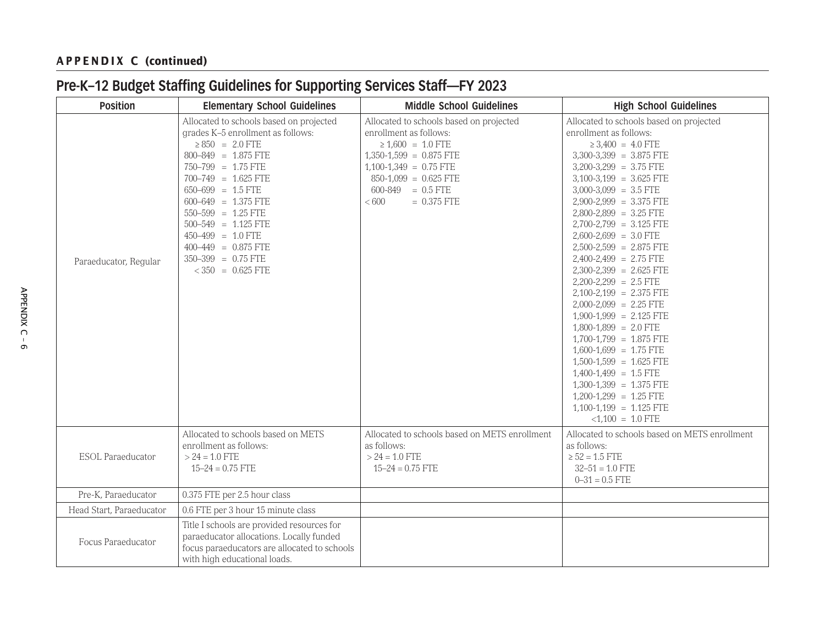### **APPENDIX C (continued)**

# **Pre-K–12 Budget Staffing Guidelines for Supporting Services Staff—FY 2023**

| <b>Position</b>          | <b>Elementary School Guidelines</b>                                                                                                                                                                                                                                                                                                                                                        | <b>Middle School Guidelines</b>                                                                                                                                                                                                  | <b>High School Guidelines</b>                                                                                                                                                                                                                                                                                                                                                                                                                                                                                                                                                                                                                                                                                                                                                              |
|--------------------------|--------------------------------------------------------------------------------------------------------------------------------------------------------------------------------------------------------------------------------------------------------------------------------------------------------------------------------------------------------------------------------------------|----------------------------------------------------------------------------------------------------------------------------------------------------------------------------------------------------------------------------------|--------------------------------------------------------------------------------------------------------------------------------------------------------------------------------------------------------------------------------------------------------------------------------------------------------------------------------------------------------------------------------------------------------------------------------------------------------------------------------------------------------------------------------------------------------------------------------------------------------------------------------------------------------------------------------------------------------------------------------------------------------------------------------------------|
| Paraeducator, Regular    | Allocated to schools based on projected<br>grades K-5 enrollment as follows:<br>$\geq 850 = 2.0$ FTE<br>$800 - 849 = 1.875$ FTE<br>$750 - 799 = 1.75$ FTE<br>$700 - 749 = 1.625$ FTE<br>$650 - 699 = 1.5$ FTE<br>$600-649 = 1.375$ FTE<br>$550 - 599 = 1.25$ FTE<br>$500-549 = 1.125$ FTE<br>$450-499 = 1.0$ FTE<br>$400-449 = 0.875$ FTE<br>$350 - 399 = 0.75$ FTE<br>$< 350 = 0.625$ FTE | Allocated to schools based on projected<br>enrollment as follows:<br>$\geq 1,600 = 1.0$ FTE<br>$1,350-1,599 = 0.875$ FTE<br>$1,100-1,349 = 0.75$ FTE<br>$850-1,099 = 0.625$ FTE<br>$600-849 = 0.5$ FTE<br>< 600<br>$= 0.375$ FTE | Allocated to schools based on projected<br>enrollment as follows:<br>$\geq 3,400 = 4.0$ FTE<br>$3,300-3,399 = 3.875$ FTE<br>$3,200-3,299 = 3.75$ FTE<br>$3,100-3,199 = 3.625$ FTE<br>$3,000-3,099 = 3.5$ FTE<br>$2,900-2,999 = 3.375$ FTE<br>$2,800-2,899 = 3.25$ FTE<br>2,700-2,799 = 3.125 FTE<br>$2,600-2,699 = 3.0$ FTE<br>$2,500-2,599 = 2.875$ FTE<br>$2,400-2,499 = 2.75$ FTE<br>$2,300-2,399 = 2.625$ FTE<br>$2,200-2,299 = 2.5$ FTE<br>$2,100-2,199 = 2.375$ FTE<br>$2,000-2,099 = 2.25$ FTE<br>$1,900-1,999 = 2.125$ FTE<br>$1,800-1,899 = 2.0$ FTE<br>$1,700-1,799 = 1.875$ FTE<br>$1,600-1,699 = 1.75$ FTE<br>$1,500-1,599 = 1.625$ FTE<br>$1,400-1,499 = 1.5$ FTE<br>$1,300-1,399 = 1.375$ FTE<br>$1,200-1,299 = 1.25$ FTE<br>$1,100-1,199 = 1.125$ FTE<br>$<1,100 = 1.0$ FTE |
| <b>ESOL</b> Paraeducator | Allocated to schools based on METS<br>enrollment as follows:<br>$> 24 = 1.0$ FTE<br>$15 - 24 = 0.75$ FTE                                                                                                                                                                                                                                                                                   | Allocated to schools based on METS enrollment<br>as follows:<br>$> 24 = 1.0$ FTE<br>$15 - 24 = 0.75$ FTE                                                                                                                         | Allocated to schools based on METS enrollment<br>as follows:<br>$\ge$ 52 = 1.5 FTE<br>$32 - 51 = 1.0$ FTE<br>$0 - 31 = 0.5$ FTE                                                                                                                                                                                                                                                                                                                                                                                                                                                                                                                                                                                                                                                            |
| Pre-K, Paraeducator      | 0.375 FTE per 2.5 hour class                                                                                                                                                                                                                                                                                                                                                               |                                                                                                                                                                                                                                  |                                                                                                                                                                                                                                                                                                                                                                                                                                                                                                                                                                                                                                                                                                                                                                                            |
| Head Start, Paraeducator | 0.6 FTE per 3 hour 15 minute class                                                                                                                                                                                                                                                                                                                                                         |                                                                                                                                                                                                                                  |                                                                                                                                                                                                                                                                                                                                                                                                                                                                                                                                                                                                                                                                                                                                                                                            |
| Focus Paraeducator       | Title I schools are provided resources for<br>paraeducator allocations. Locally funded<br>focus paraeducators are allocated to schools<br>with high educational loads.                                                                                                                                                                                                                     |                                                                                                                                                                                                                                  |                                                                                                                                                                                                                                                                                                                                                                                                                                                                                                                                                                                                                                                                                                                                                                                            |